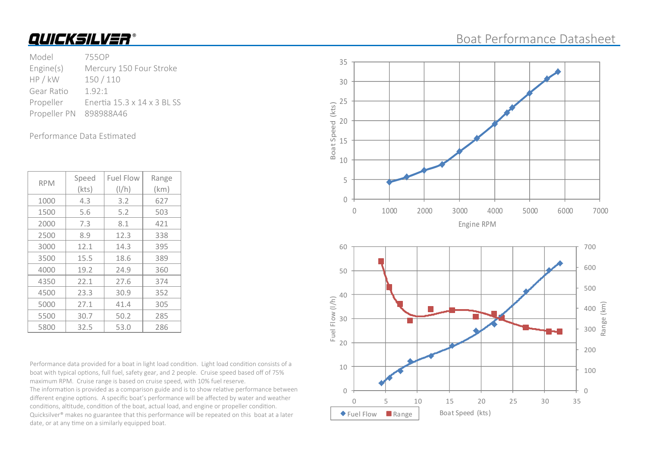#### Boat Performance Datasheet

Model 755OP Engine(s) Mercury 150 Four Stroke HP / kW 150 / 110 Gear Ratio 1.92:1 Propeller Enertia 15.3 x 14 x 3 BL SS Propeller PN 898988A46

Performance Data Estimated

| <b>RPM</b> | Speed | <b>Fuel Flow</b> | Range |
|------------|-------|------------------|-------|
|            | (kts) | $\frac{1}{h}$    | (km)  |
| 1000       | 4.3   | 3.2              | 627   |
| 1500       | 5.6   | 5.2              | 503   |
| 2000       | 7.3   | 8.1              | 421   |
| 2500       | 8.9   | 12.3             | 338   |
| 3000       | 12.1  | 14.3             | 395   |
| 3500       | 15.5  | 18.6             | 389   |
| 4000       | 19.2  | 24.9             | 360   |
| 4350       | 22.1  | 27.6             | 374   |
| 4500       | 23.3  | 30.9             | 352   |
| 5000       | 27.1  | 41.4             | 305   |
| 5500       | 30.7  | 50.2             | 285   |
| 5800       | 32.5  | 53.0             | 286   |

Performance data provided for a boat in light load condition. Light load condition consists of a boat with typical options, full fuel, safety gear, and 2 people. Cruise speed based off of 75% maximum RPM. Cruise range is based on cruise speed, with 10% fuel reserve. The information is provided as a comparison guide and is to show relative performance between

different engine options. A specific boat's performance will be affected by water and weather conditions, altitude, condition of the boat, actual load, and engine or propeller condition. Quicksilver<sup>®</sup> makes no guarantee that this performance will be repeated on this boat at a later date, or at any time on a similarly equipped boat.

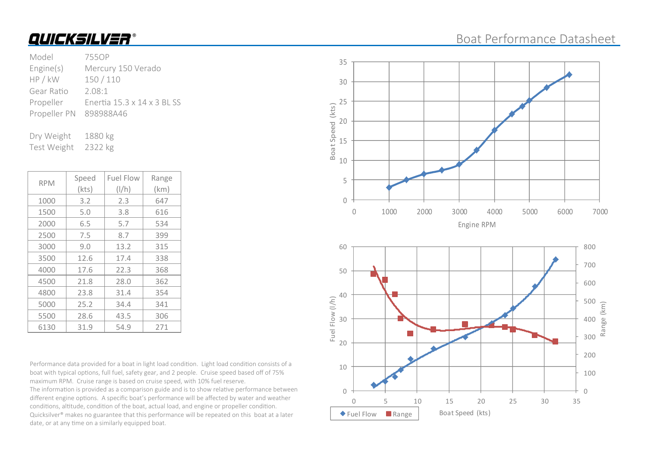| Model                  | 755OP                       |
|------------------------|-----------------------------|
| Engine(s)              | Mercury 150 Verado          |
| HP / kW                | 150/110                     |
| Gear Ratio             | 2.08:1                      |
| Propeller              | Fnertia 15.3 x 14 x 3 BL SS |
| Propeller PN 898988A46 |                             |
|                        |                             |

Dry Weight 1880 kg Test Weight 2322 kg

| <b>RPM</b> | Speed | <b>Fuel Flow</b> | Range |
|------------|-------|------------------|-------|
|            | (kts) | $\frac{1}{h}$    | (km)  |
| 1000       | 3.2   | 2.3              | 647   |
| 1500       | 5.0   | 3.8              | 616   |
| 2000       | 6.5   | 5.7              | 534   |
| 2500       | 7.5   | 8.7              | 399   |
| 3000       | 9.0   | 13.2             | 315   |
| 3500       | 12.6  | 17.4             | 338   |
| 4000       | 17.6  | 22.3             | 368   |
| 4500       | 21.8  | 28.0             | 362   |
| 4800       | 23.8  | 31.4             | 354   |
| 5000       | 25.2  | 34.4             | 341   |
| 5500       | 28.6  | 43.5             | 306   |
| 6130       | 31.9  | 54.9             | 271   |

Performance data provided for a boat in light load condition. Light load condition consists of a boat with typical options, full fuel, safety gear, and 2 people. Cruise speed based off of 75% maximum RPM. Cruise range is based on cruise speed, with 10% fuel reserve. The information is provided as a comparison guide and is to show relative performance between

different engine options. A specific boat's performance will be affected by water and weather conditions, altitude, condition of the boat, actual load, and engine or propeller condition. Quicksilver® makes no guarantee that this performance will be repeated on this boat at a later date, or at any time on a similarly equipped boat.

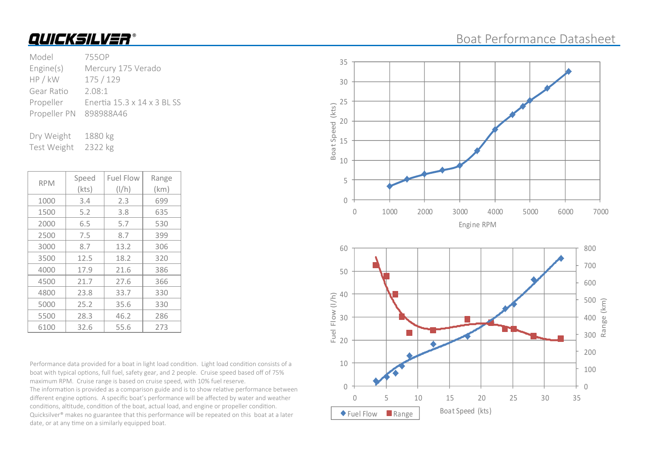| Model                  | 755OP                       |
|------------------------|-----------------------------|
| Engine(s)              | Mercury 175 Verado          |
| HP / kW                | 175/129                     |
| Gear Ratio             | 2.08:1                      |
| Propeller              | Enertia 15.3 x 14 x 3 BL SS |
| Propeller PN 898988A46 |                             |
|                        |                             |

Dry Weight 1880 kg Test Weight 2322 kg

| <b>RPM</b> | Speed | <b>Fuel Flow</b> | Range |
|------------|-------|------------------|-------|
|            | (kts) | $\frac{1}{h}$    | (km)  |
| 1000       | 3.4   | 2.3              | 699   |
| 1500       | 5.2   | 3.8              | 635   |
| 2000       | 6.5   | 5.7              | 530   |
| 2500       | 7.5   | 8.7              | 399   |
| 3000       | 8.7   | 13.2             | 306   |
| 3500       | 12.5  | 18.2             | 320   |
| 4000       | 17.9  | 21.6             | 386   |
| 4500       | 21.7  | 27.6             | 366   |
| 4800       | 23.8  | 33.7             | 330   |
| 5000       | 25.2  | 35.6             | 330   |
| 5500       | 28.3  | 46.2             | 286   |
| 6100       | 32.6  | 55.6             | 273   |

Performance data provided for a boat in light load condition. Light load condition consists of a boat with typical options, full fuel, safety gear, and 2 people. Cruise speed based off of 75% maximum RPM. Cruise range is based on cruise speed, with 10% fuel reserve.

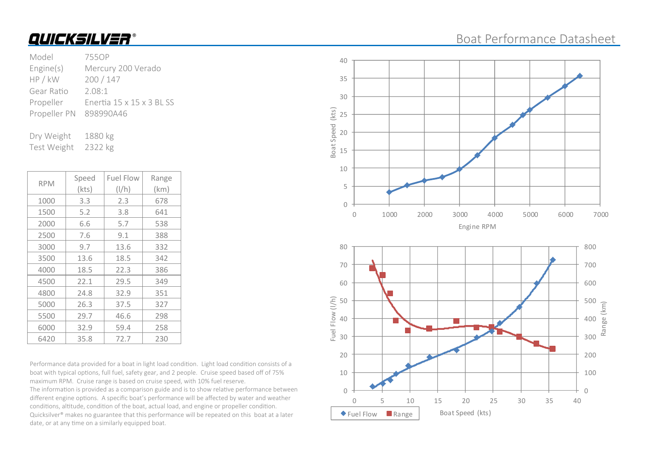| Model                  | 7550P                     |
|------------------------|---------------------------|
| Engine(s)              | Mercury 200 Verado        |
| HP / kW                | 200/147                   |
| Gear Ratio             | 2.08:1                    |
| Propeller              | Enertia 15 x 15 x 3 BL SS |
| Propeller PN 898990A46 |                           |
|                        |                           |

Dry Weight 1880 kg Test Weight 2322 kg

| <b>RPM</b> | Speed | <b>Fuel Flow</b> | Range |
|------------|-------|------------------|-------|
|            | (kts) | $\frac{1}{h}$    | (km)  |
| 1000       | 3.3   | 2.3              | 678   |
| 1500       | 5.2   | 3.8              | 641   |
| 2000       | 6.6   | 5.7              | 538   |
| 2500       | 7.6   | 9.1              | 388   |
| 3000       | 9.7   | 13.6             | 332   |
| 3500       | 13.6  | 18.5             | 342   |
| 4000       | 18.5  | 22.3             | 386   |
| 4500       | 22.1  | 29.5             | 349   |
| 4800       | 24.8  | 32.9             | 351   |
| 5000       | 26.3  | 37.5             | 327   |
| 5500       | 29.7  | 46.6             | 298   |
| 6000       | 32.9  | 59.4             | 258   |
| 6420       | 35.8  | 72.7             | 230   |

Performance data provided for a boat in light load condition. Light load condition consists of a boat with typical options, full fuel, safety gear, and 2 people. Cruise speed based off of 75% maximum RPM. Cruise range is based on cruise speed, with 10% fuel reserve.

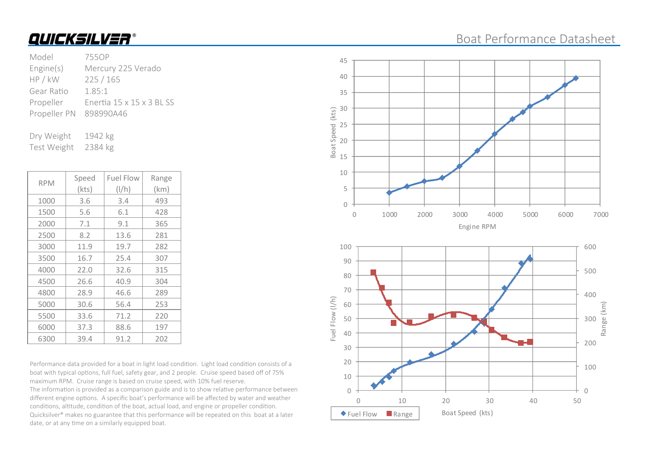| Model                  | 755OP                     |
|------------------------|---------------------------|
| Engine(s)              | Mercury 225 Verado        |
| HP / kW                | 225/165                   |
| Gear Ratio             | 1.85:1                    |
| Propeller              | Enertia 15 x 15 x 3 BL SS |
| Propeller PN 898990A46 |                           |
|                        |                           |

Dry Weight 1942 kg Test Weight 2384 kg

| <b>RPM</b> | Speed | <b>Fuel Flow</b> | Range |
|------------|-------|------------------|-------|
|            | (kts) | $\frac{1}{h}$    | (km)  |
| 1000       | 3.6   | 3.4              | 493   |
| 1500       | 5.6   | 6.1              | 428   |
| 2000       | 7.1   | 9.1              | 365   |
| 2500       | 8.2   | 13.6             | 281   |
| 3000       | 11.9  | 19.7             | 282   |
| 3500       | 16.7  | 25.4             | 307   |
| 4000       | 22.0  | 32.6             | 315   |
| 4500       | 26.6  | 40.9             | 304   |
| 4800       | 28.9  | 46.6             | 289   |
| 5000       | 30.6  | 56.4             | 253   |
| 5500       | 33.6  | 71.2             | 220   |
| 6000       | 37.3  | 88.6             | 197   |
| 6300       | 39.4  | 91.2             | 202   |

Performance data provided for a boat in light load condition. Light load condition consists of a boat with typical options, full fuel, safety gear, and 2 people. Cruise speed based off of 75% maximum RPM. Cruise range is based on cruise speed, with 10% fuel reserve.

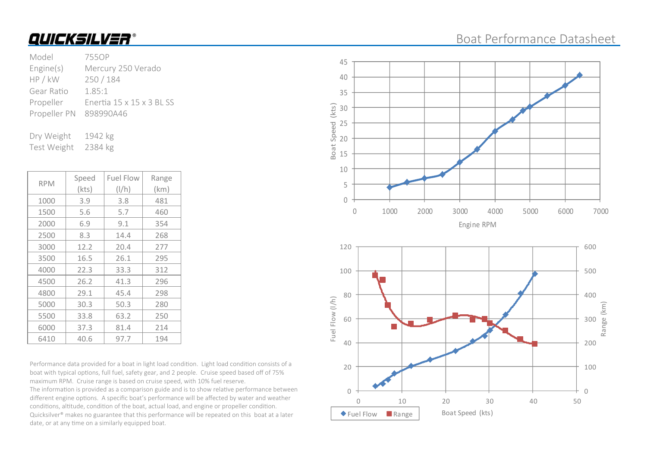| Model                  | 7550P                     |
|------------------------|---------------------------|
| Engine(s)              | Mercury 250 Verado        |
| HP / kW                | 250/184                   |
| Gear Ratio             | 1.85:1                    |
| Propeller              | Enertia 15 x 15 x 3 BL SS |
| Propeller PN 898990A46 |                           |
|                        |                           |

Dry Weight 1942 kg Test Weight 2384 kg

| <b>RPM</b> | Speed | <b>Fuel Flow</b> | Range |
|------------|-------|------------------|-------|
|            | (kts) | $\frac{1}{h}$    | (km)  |
| 1000       | 3.9   | 3.8              | 481   |
| 1500       | 5.6   | 5.7              | 460   |
| 2000       | 6.9   | 9.1              | 354   |
| 2500       | 8.3   | 14.4             | 268   |
| 3000       | 12.2  | 20.4             | 277   |
| 3500       | 16.5  | 26.1             | 295   |
| 4000       | 22.3  | 33.3             | 312   |
| 4500       | 26.2  | 41.3             | 296   |
| 4800       | 29.1  | 45.4             | 298   |
| 5000       | 30.3  | 50.3             | 280   |
| 5500       | 33.8  | 63.2             | 250   |
| 6000       | 37.3  | 81.4             | 214   |
| 6410       | 40.6  | 97.7             | 194   |

Performance data provided for a boat in light load condition. Light load condition consists of a boat with typical options, full fuel, safety gear, and 2 people. Cruise speed based off of 75% maximum RPM. Cruise range is based on cruise speed, with 10% fuel reserve.

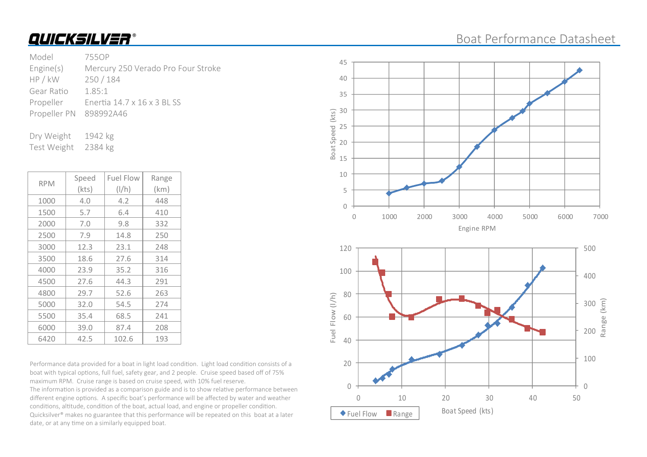#### Boat Performance Datasheet

#### Model 755OP Engine(s) Mercury 250 Verado Pro Four Stroke HP / kW 250 / 184 Gear Ratio 1.85:1 Propeller Enertia 14.7 x 16 x 3 BL SS Propeller PN 898992A46

Dry Weight 1942 kg Test Weight 2384 kg

| <b>RPM</b> | Speed | <b>Fuel Flow</b> | Range         |      |  |
|------------|-------|------------------|---------------|------|--|
|            |       | (kts)            | $\frac{1}{h}$ | (km) |  |
|            | 1000  | 4.0              | 4.2           | 448  |  |
|            | 1500  | 5.7              | 6.4           | 410  |  |
|            | 2000  | 7.0              | 9.8           | 332  |  |
|            | 2500  | 7.9              | 14.8          | 250  |  |
|            | 3000  | 12.3             | 23.1          | 248  |  |
|            | 3500  | 18.6             | 27.6          | 314  |  |
|            | 4000  | 23.9             | 35.2          | 316  |  |
|            | 4500  | 27.6             | 44.3          | 291  |  |
|            | 4800  | 29.7             | 52.6          | 263  |  |
|            | 5000  | 32.0             | 54.5          | 274  |  |
|            | 5500  | 35.4             | 68.5          | 241  |  |
|            | 6000  | 39.0             | 87.4          | 208  |  |
|            | 6420  | 42.5             | 102.6         | 193  |  |

Performance data provided for a boat in light load condition. Light load condition consists of a boat with typical options, full fuel, safety gear, and 2 people. Cruise speed based off of 75% maximum RPM. Cruise range is based on cruise speed, with 10% fuel reserve.